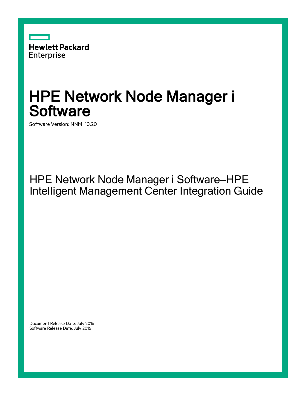

# HPE Network Node Manager i **Software**

Software Version: NNMi 10.20

HPE Network Node Manager i Software—HPE Intelligent Management Center Integration Guide

Document Release Date: July 2016 Software Release Date: July 2016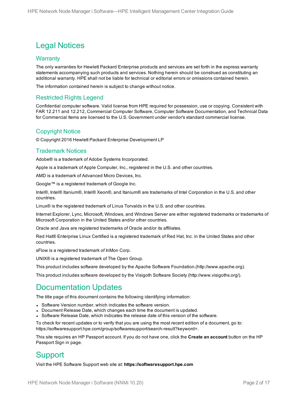### Legal Notices

#### **Warranty**

The only warranties for Hewlett Packard Enterprise products and services are set forth in the express warranty statements accompanying such products and services. Nothing herein should be construed as constituting an additional warranty. HPE shall not be liable for technical or editorial errors or omissions contained herein.

The information contained herein is subject to change without notice.

#### Restricted Rights Legend

Confidential computer software. Valid license from HPE required for possession, use or copying. Consistent with FAR 12.211 and 12.212, Commercial Computer Software, Computer Software Documentation, and Technical Data for Commercial Items are licensed to the U.S. Government under vendor's standard commercial license.

#### Copyright Notice

© Copyright 2016 Hewlett Packard Enterprise Development LP

#### Trademark Notices

Adobe® is a trademark of Adobe Systems Incorporated.

Apple is a trademark of Apple Computer, Inc., registered in the U.S. and other countries.

AMD is a trademark of Advanced Micro Devices, Inc.

Google™ is a registered trademark of Google Inc.

Intel®, Intel® Itanium®, Intel® Xeon®, and Itanium® are trademarks of Intel Corporation in the U.S. and other countries.

Linux® is the registered trademark of Linus Torvalds in the U.S. and other countries.

Internet Explorer, Lync, Microsoft, Windows, and Windows Server are either registered trademarks or trademarks of Microsoft Corporation in the United States and/or other countries.

Oracle and Java are registered trademarks of Oracle and/or its affiliates.

Red Hat® Enterprise Linux Certified is a registered trademark of Red Hat, Inc. in the United States and other countries.

sFlow is a registered trademark of InMon Corp.

UNIX® is a registered trademark of The Open Group.

This product includes software developed by the Apache Software Foundation.(http://www.apache.org).

This product includes software developed by the Visigoth Software Society (http://www.visigoths.org/).

#### Documentation Updates

The title page of this document contains the following identifying information:

- Software Version number, which indicates the software version.
- Document Release Date, which changes each time the document is updated.
- Software Release Date, which indicates the release date of this version of the software.

To check for recent updates or to verify that you are using the most recent edition of a document, go to: https://softwaresupport.hpe.com/group/softwaresupport/search-result?keyword=.

This site requires an HP Passport account. If you do not have one, click the **Create an account** button on the HP Passport Sign in page.

#### **Support**

Visit the HPE Software Support web site at: **https://softwaresupport.hpe.com**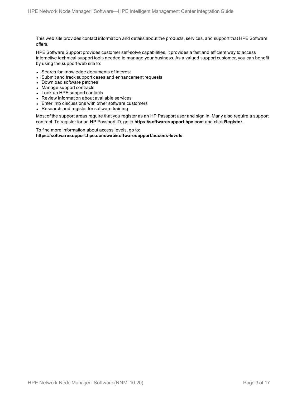This web site provides contact information and details about the products, services, and support that HPE Software offers.

HPE Software Support provides customer self-solve capabilities. It provides a fast and efficient way to access interactive technical support tools needed to manage your business. As a valued support customer, you can benefit by using the support web site to:

- Search for knowledge documents of interest
- Submit and track support cases and enhancement requests
- Download software patches
- Manage support contracts
- Look up HPE support contacts
- Review information about available services
- Enter into discussions with other software customers
- Research and register for software training

Most of the support areas require that you register as an HP Passport user and sign in. Many also require a support contract. To register for an HP Passport ID, go to **https://softwaresupport.hpe.com** and click **Register**.

To find more information about access levels, go to: **https://softwaresupport.hpe.com/web/softwaresupport/access-levels**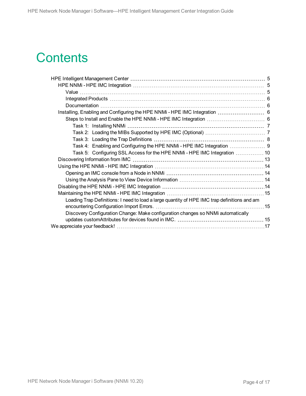# **Contents**

| Task 4: Enabling and Configuring the HPE NNMi - HPE IMC Integration  9                       |  |
|----------------------------------------------------------------------------------------------|--|
| Task 5: Configuring SSL Access for the HPE NNMi - HPE IMC Integration  10                    |  |
|                                                                                              |  |
|                                                                                              |  |
|                                                                                              |  |
|                                                                                              |  |
|                                                                                              |  |
|                                                                                              |  |
| Loading Trap Definitions: I need to load a large quantity of HPE IMC trap definitions and am |  |
|                                                                                              |  |
| Discovery Configuration Change: Make configuration changes so NNMi automatically             |  |
|                                                                                              |  |
|                                                                                              |  |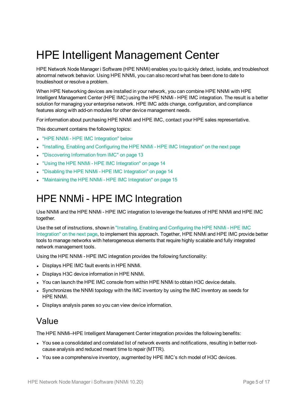# <span id="page-4-0"></span>HPE Intelligent Management Center

HPE Network Node Manager i Software (HPE NNMi) enables you to quickly detect, isolate, and troubleshoot abnormal network behavior. Using HPE NNMi, you can also record what has been done to date to troubleshoot or resolve a problem.

When HPE Networking devices are installed in your network, you can combine HPE NNMi with HPE Intelligent Management Center (HPE IMC) using the HPE NNMi - HPE IMC integration. The result is a better solution for managing your enterprise network. HPE IMC adds change, configuration, and compliance features along with add-on modules for other device management needs.

For information about purchasing HPE NNMi and HPE IMC, contact your HPE sales representative.

This document contains the following topics:

- <sup>l</sup> ["HPE NNMi](#page-4-1) HPE IMC Integration" below
- "Installing, Enabling and [Configuring](#page-5-2) the HPE NNMi HPE IMC Integration" on the next page
- ["Discovering](#page-12-0) Information from IMC" on page 13
- . "Using the HPE NNMi HPE IMC [Integration"](#page-13-0) on page 14
- . "Disabling the HPE NNMi HPE IMC [Integration"](#page-13-3) on page 14
- <span id="page-4-1"></span>. ["Maintaining](#page-14-0) the HPE NNMi - HPE IMC Integration" on page 15

## HPE NNMi - HPE IMC Integration

Use NNMi and the HPE NNMi - HPE IMC integration to leverage the features of HPE NNMi and HPE IMC together.

Use the set of instructions, shown in "Installing, Enabling and [Configuring](#page-5-2) the HPE NNMi - HPE IMC [Integration"](#page-5-2) on the next page, to implement this approach. Together, HPE NNMi and HPE IMC provide better tools to manage networks with heterogeneous elements that require highly scalable and fully integrated network management tools.

Using the HPE NNMi - HPE IMC integration provides the following functionality:

- Displays HPE IMC fault events in HPE NNMi.
- Displays H3C device information in HPE NNMi.
- You can launch the HPE IMC console from within HPE NNMi to obtain H3C device details.
- Synchronizes the NNMi topology with the IMC inventory by using the IMC inventory as seeds for HPE NNMi.
- <span id="page-4-2"></span>• Displays analysis panes so you can view device information.

#### Value

The HPE NNMi–HPE Intelligent Management Center integration provides the following benefits:

- You see a consolidated and correlated list of network events and notifications, resulting in better rootcause analysis and reduced meant time to repair (MTTR).
- You see a comprehensive inventory, augmented by HPE IMC's rich model of H3C devices.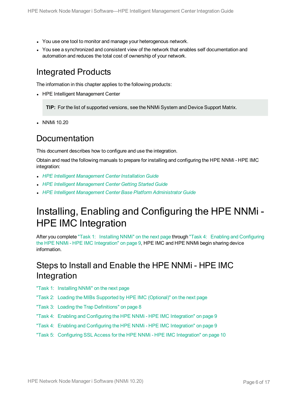- You use one tool to monitor and manage your heterogenous network.
- You see a synchronized and consistent view of the network that enables self documentation and automation and reduces the total cost of ownership of your network.

### <span id="page-5-0"></span>Integrated Products

The information in this chapter applies to the following products:

• HPE Intelligent Management Center

**TIP:** For the list of supported versions, see the NNMi System and Device Support Matrix.

<span id="page-5-1"></span>• NNMi 10.20

### Documentation

This document describes how to configure and use the integration.

Obtain and read the following manuals to prepare for installing and configuring the HPE NNMi - HPE IMC integration:

- <sup>l</sup> *HPE Intelligent [Management](http://bizsupport2.austin.hp.com/bc/docs/support/SupportManual/c03382583/c03382583.pdf) Center Installation Guide*
- <sup>l</sup> *HPE Intelligent [Management](http://bizsupport2.austin.hp.com/bc/docs/support/SupportManual/c03382580/c03382580.pdf) Center Getting Started Guide*
- <span id="page-5-2"></span><sup>l</sup> *HPE Intelligent Management Center Base Platform [Administrator](http://bizsupport2.austin.hp.com/bc/docs/support/SupportManual/c03382678/c03382678.pdf) Guide*

## Installing, Enabling and Configuring the HPE NNMi - HPE IMC Integration

After you complete "Task 1: [Installing](#page-6-0) NNMi" on the next page through "Task 4: Enabling and [Configuring](#page-8-0) the HPE NNMi - HPE IMC [Integration"](#page-8-0) on page 9, HPE IMC and HPE NNMi begin sharing device information.

### <span id="page-5-3"></span>Steps to Install and Enable the HPE NNMi - HPE IMC Integration

- "Task 1: [Installing](#page-6-0) NNMi" on the next page
- "Task 2: Loading the MIBs Supported by HPE IMC [\(Optional\)"](#page-6-1) on the next page
- "Task 3: Loading the Trap [Definitions"](#page-7-0) on page 8
- "Task 4: Enabling and [Configuring](#page-8-0) the HPE NNMi HPE IMC Integration" on page 9
- "Task 4: Enabling and [Configuring](#page-8-0) the HPE NNMi HPE IMC Integration" on page 9
- "Task 5: [Configuring](#page-9-0) SSL Access for the HPE NNMi HPE IMC Integration" on page 10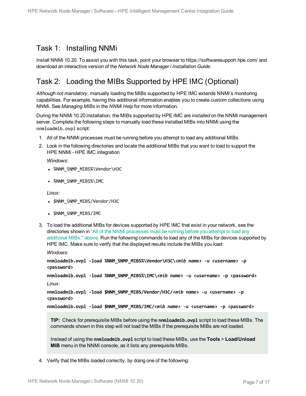#### <span id="page-6-0"></span>Task 1: Installing NNMi

Install NNMi 10.20. To assist you with this task, point your browser to https://softwaresupport.hpe.com/ and download an interactive version of the *Network Node Manager i Installation Guide*.

#### <span id="page-6-1"></span>Task 2: Loading the MIBs Supported by HPE IMC (Optional)

*Although not mandatory*, manually loading the MIBs supported by HPE IMC extends NNMi's monitoring capabilities. For example, having this additional information enables you to create custom collections using NNMi. See *Managing MIBs* in the *NNMi Help* for more information.

During the NNMi 10.20 installation, the MIBs supported by HPE IMC are *installed* on the NNMi management server. Complete the following steps to manually load these installed MIBs into NNMi using the nnmloadmib.ovpl script:

- <span id="page-6-2"></span>1. All of the NNMi processes must be running before you attempt to load any additional MIBs.
- 2. Look in the following directories and locate the additional MIBs that you want to load to support the HPE NNMi - HPE IMC integration

*Windows*:

- %NNM SNMP MIBS%\Vendor\H3C
- %NNM\_SNMP\_MIBS%\IMC

*Linux*:

- <span id="page-6-3"></span>• \$NNM\_SNMP\_MIBS/Vendor/H3C
- \$NNM\_SNMP\_MIBS/IMC
- 3. To load the additional MIBs for devices supported by HPE IMC that exist in your network, see the directories shown in "All of the NNMi [processes](#page-6-2) must be running before you attempt to load any [additional](#page-6-2) MIBs." above. Run the following commands to load any of the MIBs for devices supported by HPE IMC. Make sure to verify that the displayed results include the MIBs you load:

*Windows*:

```
nnmloadmib.ovpl -load %NNM_SNMP_MIBS%\Vendor\H3C\<mib name> -u <username> -p
<password>
```
**nnmloadmib.ovpl -load %NNM\_SNMP\_MIBS%\IMC\***<mib name>* **-u <username> -p <password>** *Linux*:

**nnmloadmib.ovpl -load \$NNM\_SNMP\_MIBS/Vendor/H3C/***<mib name>* **-u <username> -p <password>**

```
nnmloadmib.ovpl -load $NNM_SNMP_MIBS/IMC/<mib name> -u <username> -p <password>
```
**TIP:** Check for prerequisite MIBs before using the **nnmloadmib.ovpl** script to load these MIBs. The commands shown in this step will not load the MIBs if the prerequisite MIBs are not loaded.

Instead of using the **nnmloadmib.ovpl** script to load these MIBs, use the **Tools** > **Load/Unload MIB** menu in the NNMi console, as it lists any prerequisite MIBs.

4. Verify that the MIBs loaded correctly, by doing one of the following: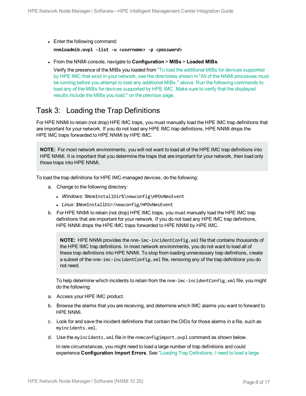• Enter the following command:

**nnmloadmib.ovpl -list -u** *<username>* **-p** *<password>*

<sup>l</sup> From the NNMi console, navigate to **Configuration** > **MIBs** > **Loaded MIBs**.

Verify the presence of the MIBs you loaded from "To load the additional MIBs for devices [supported](#page-6-3) by HPE IMC that exist in your network, see the directories shown in "All of the NNMi [processes](#page-6-3) must be running before you attempt to load any additional MIBs." above. Run the following [commands](#page-6-3) to load any of the MIBs for devices supported by [HPE IMC.](#page-6-3) Make sure to verify that the displayed results include the MIBs you load:" on the [previous](#page-6-3) page.

#### <span id="page-7-0"></span>Task 3: Loading the Trap Definitions

For HPE NNMi to retain (not drop) HPE IMC traps, you must manually load the HPE IMC trap definitions that are important for your network. If you do not load any HPE IMC trap definitions, HPE NNMi drops the HPE IMC traps forwarded to HPE NNMi by HPE IMC.

**NOTE:** For most network environments, you will not want to load all of the HPE IMC trap definitions into HPE NNMi. It is important that you determine the traps that are important for your network, then load only those traps into HPE NNMi.

To load the trap definitions for HPE IMC-managed devices, do the following:

- a. Change to the following directory:
	- Windows: %NnmInstallDir%\newconfig\HPOvNmsEvent
	- Linux: \$NnmInstallDir/newconfig/HPOvNmsEvent
- b. For HPE NNMi to retain (not drop) HPE IMC traps, you must manually load the HPE IMC trap definitions that are important for your network. If you do not load any HPE IMC trap definitions, HPE NNMi drops the HPE IMC traps forwarded to HPE NNMi by HPE IMC.

**NOTE:** HPE NNMi provides the nnm-imc-incidentConfig.xml file that contains thousands of the HPE IMC trap definitions. In most network environments, you do not want to load all of these trap definitions into HPE NNMi. To stop from loading unnecessary trap definitions, create a subset of the nnm-imc-incidentConfig.xml file, removing any of the trap definitions you do not need.

To help determine which incidents to retain from the nnm-imc-incidentConfig.xml file, you might do the following:

- a. Access your HPE IMC product.
- b. Browse the alarms that you are receiving, and determine which IMC alarms you want to forward to HPE NNMi.
- c. Look for and save the incident definitions that contain the OIDs for those alarms in a file, such as myincidents.xml,
- d. Use the myincidents.xml file in the nnmconfigimport.ovpl command as shown below.

In rare circumstances, you might need to load a large number of trap definitions and could experience **Configuration Import Errors**. See "Loading Trap [Definitions:](#page-14-1) I need to load a large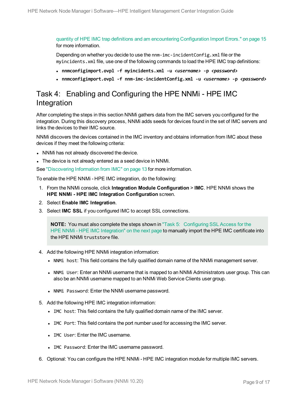quantity of HPE IMC trap definitions and am encountering [Configuration](#page-14-1) Import Errors." on page 15 for more information.

Depending on whether you decide to use the nnm-imc-incidentConfig.xml file or the myincidents.xml file, use one of the following commands to load the HPE IMC trap definitions:

- <sup>l</sup> **nnmconfigimport.ovpl -f myincidents.xml -u** *<username>* **-p** *<password>*
- <sup>l</sup> **nnmconfigimport.ovpl -f nnm-imc-incidentConfig.xml -u** *<username>* **-p** *<password>*

#### <span id="page-8-0"></span>Task 4: Enabling and Configuring the HPE NNMi - HPE IMC Integration

After completing the steps in this section NNMi gathers data from the IMC servers you configured for the integration. During this discovery process, NNMi adds seeds for devices found in the set of IMC servers and links the devices to their IMC source.

NNMi discovers the devices contained in the IMC inventory and obtains information from IMC about these devices if they meet the following criteria:

- NNMi has not already discovered the device.
- The device is not already entered as a seed device in NNMi.

See ["Discovering](#page-12-0) Information from IMC" on page 13 for more information.

To enable the HPE NNMi - HPE IMC integration, do the following:

- 1. From the NNMi console, click **Integration Module Configuration** > **IMC**. HPE NNMi shows the **HPE NNMi - HPE IMC Integration Configuration** screen.
- <span id="page-8-1"></span>2. Select **Enable IMC Integration**.
- 3. Select **IMC SSL** if you configured IMC to accept SSL connections.

**NOTE:** You must also complete the steps shown in "Task 5: [Configuring](#page-9-0) SSL Access for the HPE NNMi - HPE IMC [Integration"](#page-9-0) on the next page to manually import the HPE IMC certificate into the HPE NNMi truststore file.

- 4. Add the following HPE NNMi integration information:
	- NNMi host: This field contains the fully qualified domain name of the NNMi management server.
	- NNMi User: Enter an NNMi username that is mapped to an NNMi Administrators user group. This can also be an NNMi username mapped to an NNMi Web Service Clients user group.
	- NNMi Password: Enter the NNMi username password.
- 5. Add the following HPE IMC integration information:
	- IMC host: This field contains the fully qualified domain name of the IMC server.
	- IMC Port: This field contains the port number used for accessing the IMC server.
	- IMC User: Enter the IMC username.
	- IMC Password: Enter the IMC username password.
- 6. Optional: You can configure the HPE NNMi HPE IMC integration module for multiple IMC servers.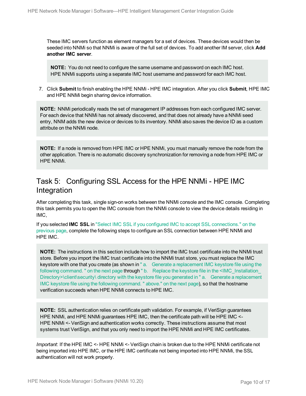These IMC servers function as element managers for a set of devices. These devices would then be seeded into NNMi so that NNMi is aware of the full set of devices. To add another IM server, click **Add another IMC server**.

**NOTE:** You do not need to configure the same username and password on each IMC host. HPE NNMi supports using a separate IMC host username and password for each IMC host.

7. Click **Submit** to finish enabling the HPE NNMi - HPE IMC integration. After you click **Submit**, HPE IMC and HPE NNMi begin sharing device information.

**NOTE:** NNMi periodically reads the set of management IP addresses from each configured IMC server. For each device that NNMi has not already discovered, and that does not already have a NNMi seed entry, NNM adds the new device or devices to its inventory. NNMi also saves the device ID as a custom attribute on the NNMi node.

**NOTE:** If a node is removed from HPE IMC or HPE NNMi, you must manually remove the node from the other application. There is no automatic discovery synchronization for removing a node from HPE IMC or HPE NNMi.

#### <span id="page-9-0"></span>Task 5: Configuring SSL Access for the HPE NNMi - HPE IMC Integration

After completing this task, single sign-on works between the NNMi console and the IMC console. Completing this task permits you to open the IMC console from the NNMi console to view the device details residing in IMC,

If you selected **IMC SSL** in "Select IMC SSL if you configured IMC to accept SSL [connections."](#page-8-1) on the [previous](#page-8-1) page, complete the following steps to configure an SSL connection between HPE NNMi and HPE IMC.

**NOTE:** The instructions in this section include how to import the IMC trust certificate into the NNMi trust store. Before you import the IMC trust certificate into the NNMi trust store, you must replace the IMC keystore with one that you create (as shown in " a. Generate a [replacement](#page-10-0) IMC keystore file using the following [command.](#page-10-0) " on the next page through " b. Replace the keystore file in the <IMC\_Installation [Directory>\client\security\](#page-10-1) directory with the keystore file you generated in " a. Generate a replacement IMC keystore file using the following [command.](#page-10-1) " above." on the next page), so that the hostname verification succeeds when HPE NNMi connects to HPE IMC.

**NOTE:** SSL authentication relies on certificate path validation. For example, if VeriSign guarantees HPE NNMi, and HPE NNMi guarantees HPE IMC, then the certificate path will be HPE IMC <- HPE NNMi <- VeriSign and authentication works correctly. These instructions assume that most systems trust VeriSign, and that you only need to import the HPE NNMi and HPE IMC certificates.

*Important*: If the HPE IMC <- HPE NNMi <- VeriSign chain is broken due to the HPE NNMi certificate not being imported into HPE IMC, or the HPE IMC certificate not being imported into HPE NNMi, the SSL authentication will not work properly.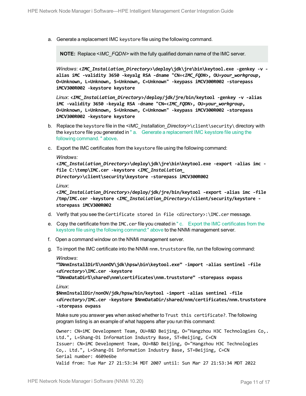<span id="page-10-0"></span>a. Generate a replacement IMC keystore file using the following command.

**NOTE:** Replace <*IMC\_FQDN>* with the fully qualified domain name of the IMC server.

*Windows*: **<***IMC\_Installation\_Directory***>\deploy\jdk\jre\bin\keytool.exe -genkey -v alias iMC -validity 3650 -keyalg RSA -dname "CN=<***IMC\_FQDN***>, OU=***your\_workgroup***, O=Unknown, L=Unknown, S=Unknown, C=Unknown" -keypass iMCV300R002 -storepass iMCV300R002 -keystore keystore**

<span id="page-10-1"></span>*Linux*: **<***IMC\_Installation\_Directory***>/deploy/jdk/jre/bin/keytool -genkey -v -alias iMC -validity 3650 -keyalg RSA -dname "CN=<***IMC\_FQDN***>, OU=***your\_workgroup***, O=Unknown, L=Unknown, S=Unknown, C=Unknown" -keypass iMCV300R002 -storepass iMCV300R002 -keystore keystore**

- b. Replace the keystore file in the <*IMC\_Installation\_Directory>*\client\security\ directory with the keystore file you generated in " a. Generate a [replacement](#page-10-0) IMC keystore file using the following [command.](#page-10-0) " above.
- <span id="page-10-2"></span>c. Export the IMC certificates from the keystore file using the following command:

```
Windows:
<IMC_Installation_Directory>\deploy\jdk\jre\bin\keytool.exe -export -alias imc -
file C:\temp\IMC.cer -keystore <IMC_Installation_
Directory>\client\security\keystore -storepass iMCV300R002
```
*Linux*:

**<***IMC\_Installation\_Directory***>/deploy/jdk/jre/bin/keytool -export -alias imc -file /tmp/IMC.cer -keystore <***IMC\_Installation\_Directory***>/client/security/keystore storepass iMCV300R002**

- d. Verify that you see the Certificate stored in file <directory>:\IMC.cer message.
- e. Copy the certificate from the IMC.cer file you created in " c. Export the IMC [certificates](#page-10-2) from the keystore file using the following [command:"](#page-10-2) above to the NNMi management server.
- f. Open a command window on the NNMi management server.
- g. To import the IMC certificate into the NNMi nnm.truststore file, run the following command: *Windows*:

**"%NnmInstallDir%\nonOV\jdk\hpsw\bin\keytool.exe" -import -alias sentinel -file <***directory***>\IMC.cer -keystore**

**"%NnmDataDir%\shared\nnm\certificates\nnm.truststore" -storepass ovpass**

*Linux*:

**\$NnmInstallDir/nonOV/jdk/hpsw/bin/keytool -import -alias sentinel -file <***directory***>/IMC.cer -keystore \$NnmDataDir/shared/nnm/certificates/nnm.truststore -storepass ovpass**

Make sure you answer **yes** when asked whether to Trust this certificate?. The following program listing is an example of what happens after you run this command:

Owner: CN=iMC Development Team, OU=R&D Beijing, O="Hangzhou H3C Technologies Co,. Ltd.", L=Shang-Di Information Industry Base, ST=Beijing, C=CN Issuer: CN=iMC Development Team, OU=R&D Beijing, O="Hangzhou H3C Technologies Co,. Ltd.", L=Shang-Di Information Industry Base, ST=Beijing, C=CN Serial number: 4609e6be Valid from: Tue Mar 27 21:53:34 MDT 2007 until: Sun Mar 27 21:53:34 MDT 2022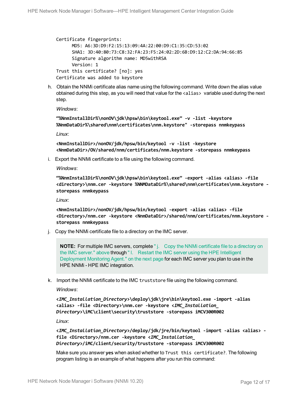```
Certificate fingerprints:
            MD5: A6:3D:D9:F2:15:13:09:4A:22:00:D9:C1:35:CD:53:02
            SHA1: 3D:40:80:73:C8:32:FA:23:F5:24:02:2D:6B:D9:12:C2:DA:94:66:85
            Signature algorithm name: MD5withRSA
            Version: 1
Trust this certificate? [no]: yes
Certificate was added to keystore
```
 h. Obtain the NNMi certificate alias name using the following command. Write down the alias value obtained during this step, as you will need that value for the <alias> variable used during the next step.

*Windows*:

```
"%NnmInstallDir%\nonOV\jdk\hpsw\bin\keytool.exe" -v -list -keystore
%NnmDataDir%\shared\nnm\certificates\nnm.keystore" -storepass nnmkeypass
```
*Linux*:

```
<NnmInstallDir>/nonOV/jdk/hpsw/bin/keytool -v -list -keystore
<NnmDataDir>/OV/shared/nnm/certificates/nnm.keystore -storepass nnmkeypass
```
i. Export the NNMi certificate to a file using the following command.

*Windows*:

```
"%NnmInstallDir%\nonOV\jdk\hpsw\bin\keytool.exe" -export -alias <alias> -file
<directory>\nnm.cer -keystore %NNMDataDir%\shared\nnm\certificates\nnm.keystore -
storepass nnmkeypass
```
*Linux*:

**<NnmInstallDir>/nonOV/jdk/hpsw/bin/keytool -export -alias <alias> -file <Directory>/nnm.cer -keystore <NnmDataDir>/shared/nnm/certificates/nnm.keystore storepass nnmkeypass**

<span id="page-11-0"></span>j. Copy the NNMi certificate file to a directory on the IMC server.

**NOTE:** For multiple IMC servers, complete " j. Copy the NNMi [certificate](#page-11-0) file to a directory on the IMC [server."](#page-11-0) above through " I. Restart the IMC server using the HPE [Intelligent](#page-12-1) [Deployment](#page-12-1) Monitoring Agent." on the next page for each IMC server you plan to use in the HPE NNMi - HPE IMC integration.

k. Import the NNMi certificate to the IMC truststore file using the following command.

*Windows*:

```
<IMC_Installation_Directory>\deploy\jdk\jre\bin\keytool.exe -import -alias
<alias> -file <Directory>\nnm.cer -keystore <IMC_Installation_
Directory>\iMC\client\security\truststore -storepass iMCV300R002
```
*Linux*:

```
<IMC_Installation_Directory>/deploy/jdk/jre/bin/keytool -import -alias <alias> -
file <Directory>/nnm.cer -keystore <IMC_Installation_
Directory>/iMC/client/security/truststore -storepass iMCV300R002
```
Make sure you answer **yes** when asked whether to Trust this certificate?. The following program listing is an example of what happens after you run this command: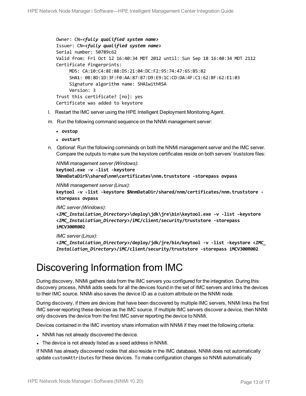```
Owner: CN=<fully qualified system name>
Issuer: CN=<fully qualified system name>
Serial number: 50789c62
Valid from: Fri Oct 12 16:40:34 MDT 2012 until: Sun Sep 18 16:40:34 MDT 2112
Certificate fingerprints:
          MD5: CA:10:C4:8E:88:D5:21:04:DC:F2:95:74:47:65:B5:82
          SHA1: 0B:8D:1D:3F:F0:AA:87:87:D9:E9:1C:CD:DA:4F:C1:62:BF:62:E1:03
          Signature algorithm name: SHA1withRSA
          Version: 3
Trust this certificate? [no]: yes
Certificate was added to keystore
```
- <span id="page-12-1"></span>l. Restart the IMC server using the HPE Intelligent Deployment Monitoring Agent.
- m. Run the following command sequence on the NNMi management server:
	- <sup>l</sup> **ovstop**
	- <sup>l</sup> **ovstart**
- n. *Optional*: Run the following commands on both the NNMi management server and the IMC server. Compare the outputs to make sure the keystore certificates reside on both servers' truststore files:

```
NNMi management server (Windows):
keytool.exe -v -list -keystore
%NnmDataDir%\shared\nnm\certificates\nnm.truststore -storepass ovpass
```

```
NNMi management server (Linux):
keytool -v -list -keystore $NnmDataDir/shared/nnm/certificates/nnm.truststore -
storepass ovpass
```
*IMC server (Windows)*:

```
<IMC_Installation_Directory>\deploy\jdk\jre\bin\keytool.exe -v -list -keystore
<IMC_Installation_Directory>/iMC/client/security/truststore -storepass
iMCV300R002
```
*IMC server (Linux)*:

```
<IMC_Installation_Directory>/deploy/jdk/jre/bin/keytool -v -list -keystore <IMC_
Installation_Directory>/iMC/client/security/truststore -storepass iMCV300R002
```
## <span id="page-12-0"></span>Discovering Information from IMC

During discovery, NNMi gathers data from the IMC servers you configured for the integration. During this discovery process, NNMi adds seeds for all the devices found in the set of IMC servers and links the devices to their IMC source. NNMi also saves the device ID as a custom attribute on the NNMi node.

During discovery, if there are devices that have been discovered by multiple IMC servers, NNMi links the first IMC server reporting these devices as the IMC source. If multiple IMC servers discover a device, then NNMi only discovers the device from the first IMC server reporting the device to NNMi.

Devices contained in the IMC inventory share information with NNMi if they meet the following criteria:

- NNMi has not already discovered the device.
- The device is not already listed as a seed address in NNMi.

If NNMi has already discovered nodes that also reside in the IMC database, NNMi does not automatically update customAttributes for these devices. To make configuration changes so NNMi automatically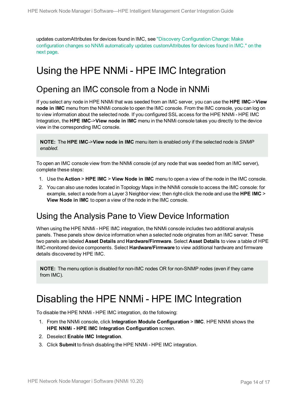updates customAttributes for devices found in IMC, see "Discovery [Configuration](#page-14-2) Change: Make configuration changes so NNMi automatically updates [customAttributes](#page-14-2) for devices found in IMC." on the next [page.](#page-14-2)

## <span id="page-13-1"></span><span id="page-13-0"></span>Using the HPE NNMi - HPE IMC Integration

### Opening an IMC console from a Node in NNMi

If you select any node in HPE NNMi that was seeded from an IMC server, you can use the **HPE IMC**->**View node in IMC** menu from the NNMi console to open the IMC console. From the IMC console, you can log on to view information about the selected node. If you configured SSL access for the HPE NNMi - HPE IMC Integration, the **HPE IMC**->**View node in IMC** menu in the NNMi console takes you directly to the device view in the corresponding IMC console.

**NOTE:** The **HPE IMC**->**View node in IMC** menu item is enabled only if the selected node is *SNMP enabled*.

To open an IMC console view from the NNMi console (of any node that was seeded from an IMC server), complete these steps:

- 1. Use the **Action** > **HPE IMC** > **View Node in IMC** menu to open a view of the node in the IMC console.
- 2. You can also use nodes located in Topology Maps in the NNMi console to access the IMC console: for example, select a node from a Layer 3 Neighbor view; then right-click the node and use the **HPE IMC** > **View Node in IMC** to open a view of the node in the IMC console.

### <span id="page-13-2"></span>Using the Analysis Pane to View Device Information

When using the HPE NNMi - HPE IMC integration, the NNMi console includes two additional analysis panels. These panels show device information when a selected node originates from an IMC server. These two panels are labeled **Asset Details** and **Hardware/Firmware**. Select **Asset Details** to view a table of HPE IMC-monitored device components. Select **Hardware/Firmware** to view additional hardware and firmware details discovered by HPE IMC.

**NOTE:** The menu option is disabled for non-IMC nodes OR for non-SNMP nodes (even if they came from IMC).

## <span id="page-13-3"></span>Disabling the HPE NNMi - HPE IMC Integration

To disable the HPE NNMi - HPE IMC integration, do the following:

- 1. From the NNMi console, click **Integration Module Configuration** > **IMC**. HPE NNMi shows the **HPE NNMi - HPE IMC Integration Configuration** screen.
- 2. Deselect **Enable IMC Integration**.
- 3. Click **Submit** to finish disabling the HPE NNMi HPE IMC integration.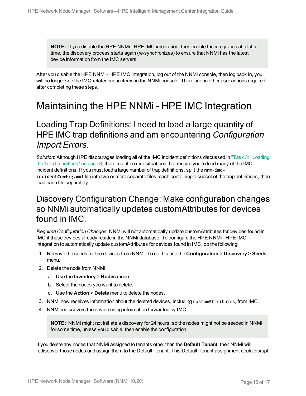**NOTE:** If you disable the HPE NNMi - HPE IMC integration, then enable the integration at a later time, the discovery process starts again (re-synchronizes) to ensure that NNMi has the latest device information from the IMC servers.

After you disable the HPE NNMi - HPE IMC integration, log out of the NNMi console, then log back in, you will no longer see the IMC-related menu items in the NNMi console. There are no other user actions required after completing these steps.

## <span id="page-14-1"></span><span id="page-14-0"></span>Maintaining the HPE NNMi - HPE IMC Integration

### Loading Trap Definitions: I need to load a large quantity of HPE IMC trap definitions and am encountering Configuration Import Errors.

*Solution*: Although HPE discourages loading all of the IMC incident definitions discussed in "Task 3: [Loading](#page-7-0) the Trap [Definitions"](#page-7-0) on page 8, there might be rare situations that require you to load many of the IMC incident definitions. If you must load a large number of trap definitions, split the **nnm-imcincidentConfig.xml** file into two or more separate files, each containing a subset of the trap definitions, then load each file separately.

### <span id="page-14-2"></span>Discovery Configuration Change: Make configuration changes so NNMi automatically updates customAttributes for devices found in IMC.

*Required Configuration Changes*: NNMi will not automatically update customAttributes for devices found in IMC if these devices already reside in the NNMi database. To configure the HPE NNMi - HPE IMC integration to automatically update customAttributes for devices found in IMC, do the following:

- 1. Remove the seeds for the devices from NNMi. To do this use the **Configuration** > **Discovery** > **Seeds** menu.
- 2. Delete the node from NNMi:
	- a. Use the **Inventory** > **Nodes** menu.
	- b. Select the nodes you want to delete.
	- c. Use the **Action** > **Delete** menu to delete the nodes.
- 3. NNMi now receives information about the deleted devices, including customAttributes, from IMC.
- 4. NNMi rediscovers the device using information forwarded by IMC.

**NOTE:** NNMi might not initiate a discovery for 24 hours, so the nodes might not be seeded in NNMi for some time, unless you disable, then enable the configuration.

If you delete any nodes that NNMi assigned to tenants other than the **Default Tenant**, then NNMi will rediscover those nodes and assign them to the Default Tenant. This Default Tenant assignment could disrupt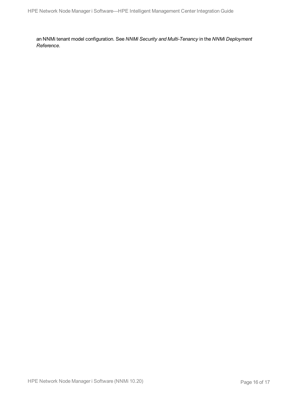an NNMi tenant model configuration. See *NNMi Security and Multi-Tenancy* in the *NNMi Deployment Reference*.